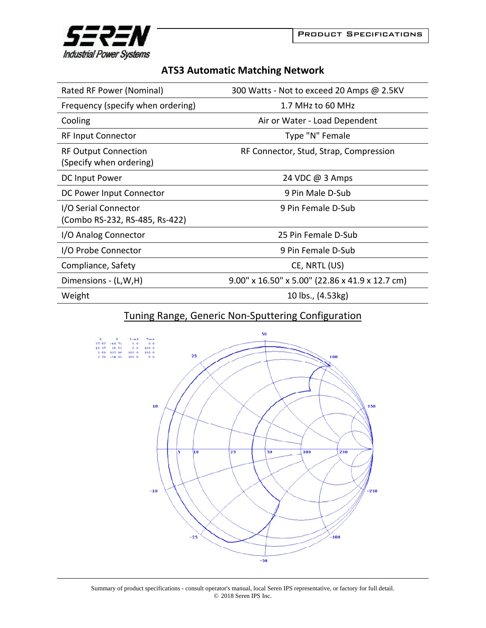

## **ATS3 Automatic Matching Network**

| Rated RF Power (Nominal)                               | 300 Watts - Not to exceed 20 Amps @ 2.5KV                |
|--------------------------------------------------------|----------------------------------------------------------|
| Frequency (specify when ordering)                      | 1.7 MHz to 60 MHz                                        |
| Cooling                                                | Air or Water - Load Dependent                            |
| <b>RF Input Connector</b>                              | Type "N" Female                                          |
| <b>RF Output Connection</b><br>(Specify when ordering) | RF Connector, Stud, Strap, Compression                   |
| DC Input Power                                         | 24 VDC @ 3 Amps                                          |
| DC Power Input Connector                               | 9 Pin Male D-Sub                                         |
| I/O Serial Connector<br>(Combo RS-232, RS-485, Rs-422) | 9 Pin Female D-Sub                                       |
| I/O Analog Connector                                   | 25 Pin Female D-Sub                                      |
| I/O Probe Connector                                    | 9 Pin Female D-Sub                                       |
| Compliance, Safety                                     | CE, NRTL (US)                                            |
| Dimensions - (L,W,H)                                   | $9.00''$ x $16.50''$ x $5.00''$ (22.86 x 41.9 x 12.7 cm) |
| Weight                                                 | 10 lbs., (4.53kg)                                        |

## Tuning Range, Generic Non‐Sputtering Configuration